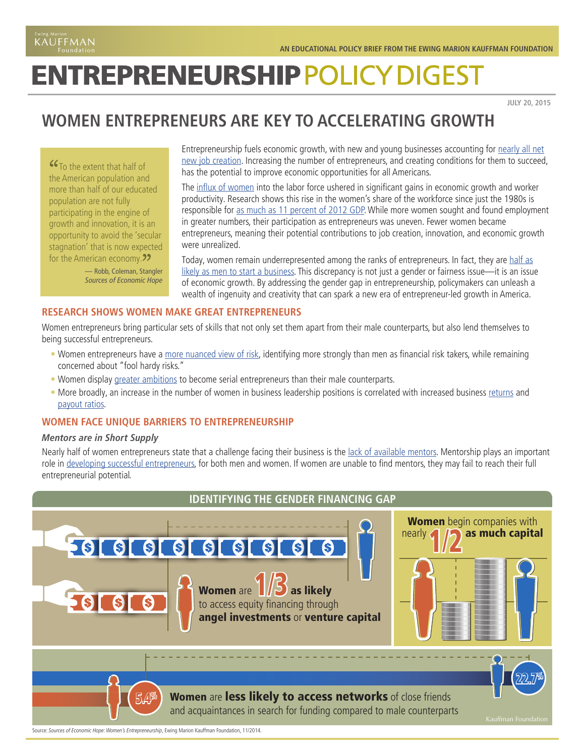# **ENTREPRENEURSHIP POLICY DIGEST**

**JULY 20, 2015**

## **WOMEN ENTREPRENEURS ARE KEY TO ACCELERATING GROWTH**

**"G** To the extent that half of the American population and more than half of our educated population are not fully participating in the engine of growth and innovation, it is an opportunity to avoid the 'secular stagnation' that is now expected for the American economy. 22<br>— Robb, Coleman, Stan

— Robb, Coleman, Stangler *Sources of Economic Hope* Entrepreneurship fuels economic growth, with new and young businesses accounting for [nearly all net](http://www.mitpressjournals.org/doi/pdf/10.1162/REST_a_00288) [new job creation.](http://www.mitpressjournals.org/doi/pdf/10.1162/REST_a_00288) Increasing the number of entrepreneurs, and creating conditions for them to succeed, has the potential to improve economic opportunities for all Americans.

The [influx of women](http://www.dol.gov/wb/stats/facts_over_time.htm) into the labor force ushered in significant gains in economic growth and worker productivity. Research shows this rise in the women's share of the workforce since just the 1980s is responsible for [as much as 11 percent of 2012 GDP](https://www.americanprogress.org/issues/labor/report/2014/04/15/87638/the-economic-importance-of-womens-rising-hours-of-work/). While more women sought and found employment in greater numbers, their participation as entrepreneurs was uneven. Fewer women became entrepreneurs, meaning their potential contributions to job creation, innovation, and economic growth were unrealized.

Today, women remain underrepresented among the ranks of entrepreneurs. In fact, they are [half as](http://www.kauffman.org/microsites/kauffman-index/reports) [likely as men to start a business](http://www.kauffman.org/microsites/kauffman-index/reports). This discrepancy is not just a gender or fairness issue—it is an issue of economic growth. By addressing the gender gap in entrepreneurship, policymakers can unleash a wealth of ingenuity and creativity that can spark a new era of entrepreneur-led growth in America.

#### **RESEARCH SHOWS WOMEN MAKE GREAT ENTREPRENEURS**

Women entrepreneurs bring particular sets of skills that not only set them apart from their male counterparts, but also lend themselves to being successful entrepreneurs.

- Women entrepreneurs have a [more nuanced view of risk,](http://www.centreforentrepreneurs.org/news/15-press-releases/641-women-entrepreneurs-show-appetite-for-growth) identifying more strongly than men as financial risk takers, while remaining concerned about "fool hardy risks."
- Women display [greater ambitions](http://www.centreforentrepreneurs.org/news/15-press-releases/641-women-entrepreneurs-show-appetite-for-growth) to become serial entrepreneurs than their male counterparts.
- More broadly, an increase in the number of women in business leadership positions is correlated with increased business [returns](http://fortune.com/2014/07/08/women-ceos-fortune-500-1000/) and [payout ratios.](https://publications.credit-suisse.com/tasks/render/file/index.cfm?fileid=8128F3C0-99BC-22E6-838E2A5B1E4366DF)

#### **WOMEN FACE UNIQUE BARRIERS TO ENTREPRENEURSHIP**

#### *Mentors are in Short Supply*

Nearly half of women entrepreneurs state that a challenge facing their business is the [lack of available mentors](http://www.kauffman.org/what-we-do/research/2014/11/sources-of-economic-hope-womens-entrepreneurship). Mentorship plays an important role in [developing successful entrepreneurs](https://www.sba.gov/advocacy/understanding-gender-gap-stem-fields-entrepreneurship), for both men and women. If women are unable to find mentors, they may fail to reach their full entrepreneurial potential.



Source: *Sources of Economic Hope: Women's Entrepreneurship*, Ewing Marion Kauffman Foundation, 11/2014.